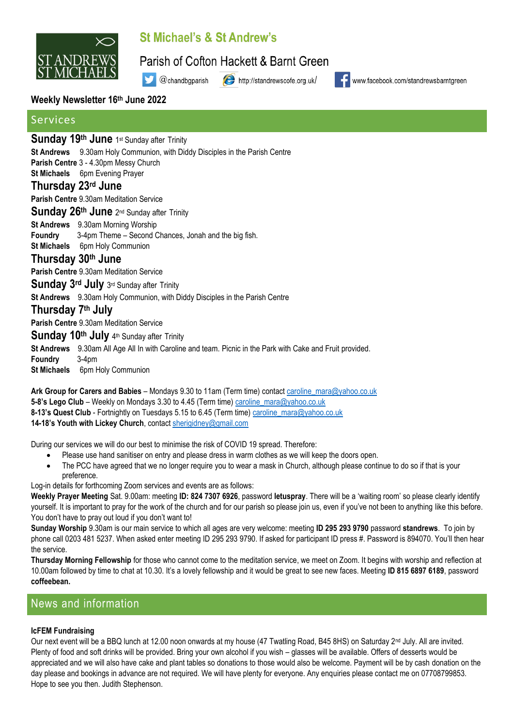

# St Michael's & St Andrew's

Parish of Cofton Hackett & Barnt Green

@chandbgparish http://standrewscofe.org.uk/

www.facebook.com/standrewsbarntgreen

### **Weekly Newsletter 16th June 2022**

# Services

# Sunday 19<sup>th</sup> June 1st Sunday after Trinity

**St Andrews** 9.30am Holy Communion, with Diddy Disciples in the Parish Centre

V

**Parish Centre** 3 - 4.30pm Messy Church

**St Michaels** 6pm Evening Prayer

### **Thursday 23rd June**

**Parish Centre** 9.30am Meditation Service

Sunday 26<sup>th</sup> June 2<sup>nd</sup> Sunday after Trinity

**St Andrews** 9.30am Morning Worship

**Foundry** 3-4pm Theme – Second Chances, Jonah and the big fish.

**St Michaels** 6pm Holy Communion

### **Thursday 30th June**

**Parish Centre** 9.30am Meditation Service

Sunday 3<sup>rd</sup> July 3rd Sunday after Trinity

**St Andrews** 9.30am Holy Communion, with Diddy Disciples in the Parish Centre

# **Thursday 7 th July**

**Parish Centre** 9.30am Meditation Service

## Sunday 10<sup>th</sup> July 4<sup>th</sup> Sunday after Trinity

**St Andrews** 9.30am All Age All In with Caroline and team. Picnic in the Park with Cake and Fruit provided.

**Foundry** 3-4pm **St Michaels** 6pm Holy Communion

**Ark Group for Carers and Babies** – Mondays 9.30 to 11am (Term time) contac[t caroline\\_mara@yahoo.co.uk](mailto:caroline_mara@yahoo.co.uk) **5-8's Lego Club** – Weekly on Mondays 3.30 to 4.45 (Term time) [caroline\\_mara@yahoo.co.uk](mailto:caroline_mara@yahoo.co.uk) **8-13's Quest Club** - Fortnightly on Tuesdays 5.15 to 6.45 (Term time) [caroline\\_mara@yahoo.co.uk](mailto:caroline_mara@yahoo.co.uk) **14-18's Youth with Lickey Church**, contact [sherigidney@gmail.com](mailto:sherigidney@gmail.com)

During our services we will do our best to minimise the risk of COVID 19 spread. Therefore:

- Please use hand sanitiser on entry and please dress in warm clothes as we will keep the doors open.
- The PCC have agreed that we no longer require you to wear a mask in Church, although please continue to do so if that is your preference.

Log-in details for forthcoming Zoom services and events are as follows:

**Weekly Prayer Meeting** Sat. 9.00am: meeting **ID: 824 7307 6926**, password **letuspray**. There will be a 'waiting room' so please clearly identify yourself. It is important to pray for the work of the church and for our parish so please join us, even if you've not been to anything like this before. You don't have to pray out loud if you don't want to!

**Sunday Worship** 9.30am is our main service to which all ages are very welcome: meeting **ID 295 293 9790** password **standrews**. To join by phone call 0203 481 5237. When asked enter meeting ID 295 293 9790. If asked for participant ID press #. Password is 894070. You'll then hear the service.

**Thursday Morning Fellowship** for those who cannot come to the meditation service, we meet on Zoom. It begins with worship and reflection at 10.00am followed by time to chat at 10.30. It's a lovely fellowship and it would be great to see new faces. Meeting **ID 815 6897 6189**, password **coffeebean.**

# News and information

### **IcFEM Fundraising**

Our next event will be a BBQ lunch at 12.00 noon onwards at my house (47 Twatling Road, B45 8HS) on Saturday 2<sup>nd</sup> July. All are invited. Plenty of food and soft drinks will be provided. Bring your own alcohol if you wish – glasses will be available. Offers of desserts would be appreciated and we will also have cake and plant tables so donations to those would also be welcome. Payment will be by cash donation on the day please and bookings in advance are not required. We will have plenty for everyone. Any enquiries please contact me on 07708799853. Hope to see you then. Judith Stephenson.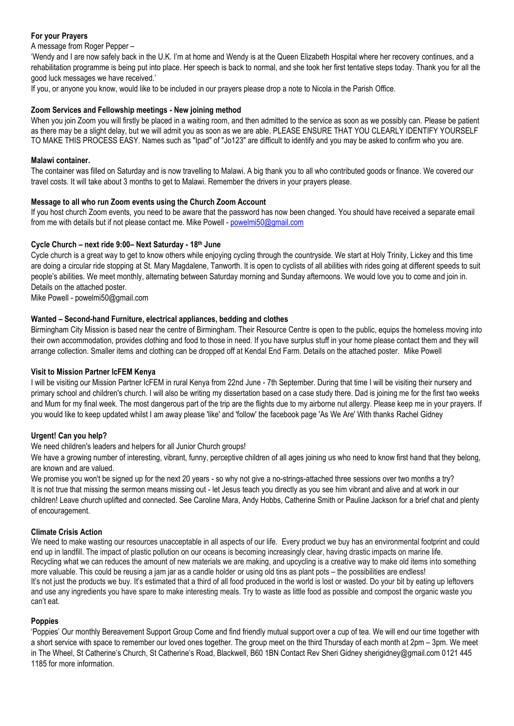### **For your Prayers**

A message from Roger Pepper –

'Wendy and I are now safely back in the U.K. I'm at home and Wendy is at the Queen Elizabeth Hospital where her recovery continues, and a rehabilitation programme is being put into place. Her speech is back to normal, and she took her first tentative steps today. Thank you for all the good luck messages we have received.'

If you, or anyone you know, would like to be included in our prayers please drop a note to Nicola in the Parish Office.

#### **Zoom Services and Fellowship meetings - New joining method**

When you join Zoom you will firstly be placed in a waiting room, and then admitted to the service as soon as we possibly can. Please be patient as there may be a slight delay, but we will admit you as soon as we are able. PLEASE ENSURE THAT YOU CLEARLY IDENTIFY YOURSELF TO MAKE THIS PROCESS EASY. Names such as "Ipad" of "Jo123" are difficult to identify and you may be asked to confirm who you are.

#### **Malawi container.**

The container was filled on Saturday and is now travelling to Malawi. A big thank you to all who contributed goods or finance. We covered our travel costs. It will take about 3 months to get to Malawi. Remember the drivers in your prayers please.

#### **Message to all who run Zoom events using the Church Zoom Account**

If you host church Zoom events, you need to be aware that the password has now been changed. You should have received a separate email from me with details but if not please contact me. Mike Powell - [powelmi50@gmail.com](mailto:powelmi50@gmail.com)

#### **Cycle Church – next ride 9:00– Next Saturday - 18th June**

Cycle church is a great way to get to know others while enjoying cycling through the countryside. We start at Holy Trinity, Lickey and this time are doing a circular ride stopping at St. Mary Magdalene, Tanworth. It is open to cyclists of all abilities with rides going at different speeds to suit people's abilities. We meet monthly, alternating between Saturday morning and Sunday afternoons. We would love you to come and join in. Details on the attached poster.

Mike Powell - [powelmi50@gmail.com](mailto:powelmi50@gmail.com)

#### **Wanted – Second-hand Furniture, electrical appliances, bedding and clothes**

Birmingham City Mission is based near the centre of Birmingham. Their Resource Centre is open to the public, equips the homeless moving into their own accommodation, provides clothing and food to those in need. If you have surplus stuff in your home please contact them and they will arrange collection. Smaller items and clothing can be dropped off at Kendal End Farm. Details on the attached poster. Mike Powell

#### **Visit to Mission Partner IcFEM Kenya**

I will be visiting our Mission Partner IcFEM in rural Kenya from 22nd June - 7th September. During that time I will be visiting their nursery and primary school and children's church. I will also be writing my dissertation based on a case study there. Dad is joining me for the first two weeks and Mum for my final week. The most dangerous part of the trip are the flights due to my airborne nut allergy. Please keep me in your prayers. If you would like to keep updated whilst I am away please 'like' and 'follow' the facebook page 'As We Are' With thanks Rachel Gidney

#### **Urgent! Can you help?**

We need children's leaders and helpers for all Junior Church groups!

We have a growing number of interesting, vibrant, funny, perceptive children of all ages joining us who need to know first hand that they belong, are known and are valued.

We promise you won't be signed up for the next 20 years - so why not give a no-strings-attached three sessions over two months a try? It is not true that missing the sermon means missing out - let Jesus teach you directly as you see him vibrant and alive and at work in our children! Leave church uplifted and connected. See Caroline Mara, Andy Hobbs, Catherine Smith or Pauline Jackson for a brief chat and plenty of encouragement.

#### **Climate Crisis Action**

We need to make wasting our resources unacceptable in all aspects of our life. Every product we buy has an environmental footprint and could end up in landfill. The impact of plastic pollution on our oceans is becoming increasingly clear, having drastic impacts on marine life. Recycling what we can reduces the amount of new materials we are making, and upcycling is a creative way to make old items into something more valuable. This could be reusing a jam jar as a candle holder or using old tins as plant pots – the possibilities are endless! It's not just the products we buy. It's estimated that a third of all food produced in the world is lost or wasted. Do your bit by eating up leftovers and use any ingredients you have spare to make interesting meals. Try to waste as little food as possible and compost the organic waste you can't eat.

### **Poppies**

'Poppies' Our monthly Bereavement Support Group Come and find friendly mutual support over a cup of tea. We will end our time together with a short service with space to remember our loved ones together. The group meet on the third Thursday of each month at 2pm – 3pm. We meet in The Wheel, St Catherine's Church, St Catherine's Road, Blackwell, B60 1BN Contact Rev Sheri Gidney sherigidney@gmail.com 0121 445 1185 for more information.